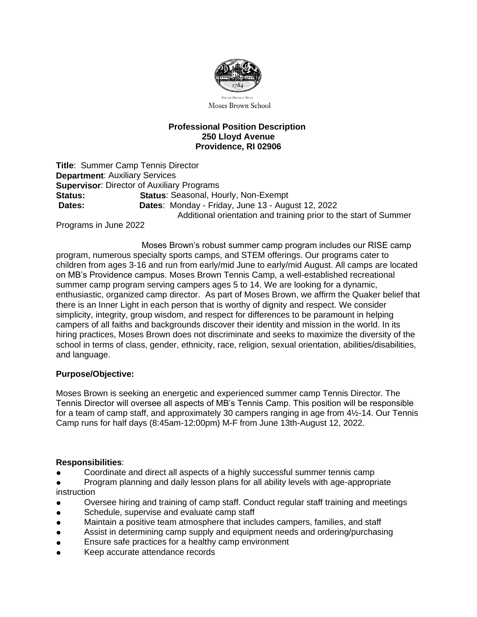

Moses Brown School

## **Professional Position Description 250 Lloyd Avenue Providence, RI 02906**

**Title**: Summer Camp Tennis Director **Department**: Auxiliary Services **Supervisor**: Director of Auxiliary Programs **Status: Status**: Seasonal, Hourly, Non-Exempt **Dates: Dates**: Monday - Friday, June 13 - August 12, 2022 Additional orientation and training prior to the start of Summer

Programs in June 2022

 Moses Brown's robust summer camp program includes our RISE camp program, numerous specialty sports camps, and STEM offerings. Our programs cater to children from ages 3-16 and run from early/mid June to early/mid August. All camps are located on MB's Providence campus. Moses Brown Tennis Camp, a well-established recreational summer camp program serving campers ages 5 to 14. We are looking for a dynamic, enthusiastic, organized camp director. As part of Moses Brown, we affirm the Quaker belief that there is an Inner Light in each person that is worthy of dignity and respect. We consider simplicity, integrity, group wisdom, and respect for differences to be paramount in helping campers of all faiths and backgrounds discover their identity and mission in the world. In its hiring practices, Moses Brown does not discriminate and seeks to maximize the diversity of the school in terms of class, gender, ethnicity, race, religion, sexual orientation, abilities/disabilities, and language.

## **Purpose/Objective:**

Moses Brown is seeking an energetic and experienced summer camp Tennis Director. The Tennis Director will oversee all aspects of MB's Tennis Camp. This position will be responsible for a team of camp staff, and approximately 30 campers ranging in age from 4½-14. Our Tennis Camp runs for half days (8:45am-12:00pm) M-F from June 13th-August 12, 2022.

## **Responsibilities**:

- Coordinate and direct all aspects of a highly successful summer tennis camp
- Program planning and daily lesson plans for all ability levels with age-appropriate instruction
- Oversee hiring and training of camp staff. Conduct regular staff training and meetings
- Schedule, supervise and evaluate camp staff
- Maintain a positive team atmosphere that includes campers, families, and staff
- Assist in determining camp supply and equipment needs and ordering/purchasing
- Ensure safe practices for a healthy camp environment
- Keep accurate attendance records